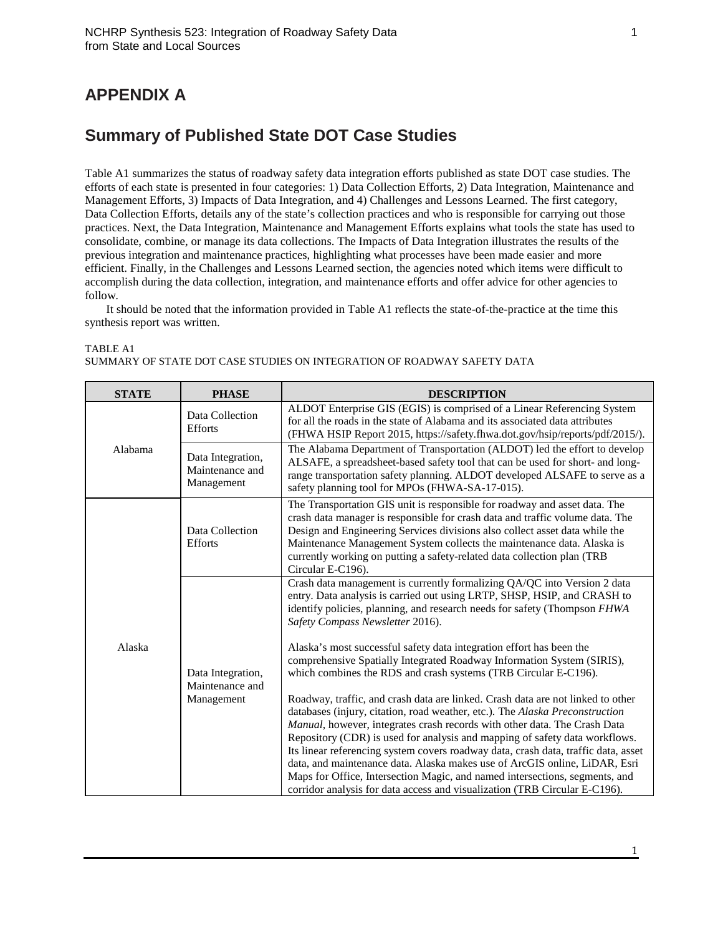## **APPENDIX A**

## **Summary of Published State DOT Case Studies**

Table A1 summarizes the status of roadway safety data integration efforts published as state DOT case studies. The efforts of each state is presented in four categories: 1) Data Collection Efforts, 2) Data Integration, Maintenance and Management Efforts, 3) Impacts of Data Integration, and 4) Challenges and Lessons Learned. The first category, Data Collection Efforts, details any of the state's collection practices and who is responsible for carrying out those practices. Next, the Data Integration, Maintenance and Management Efforts explains what tools the state has used to consolidate, combine, or manage its data collections. The Impacts of Data Integration illustrates the results of the previous integration and maintenance practices, highlighting what processes have been made easier and more efficient. Finally, in the Challenges and Lessons Learned section, the agencies noted which items were difficult to accomplish during the data collection, integration, and maintenance efforts and offer advice for other agencies to follow.

It should be noted that the information provided in Table A1 reflects the state-of-the-practice at the time this synthesis report was written.

| <b>STATE</b>             | <b>PHASE</b>                                       | <b>DESCRIPTION</b>                                                                                                                                                                                                                                                                                                                                                                                                                                                                                                                                                                                                                                                                                                                                                                                                                                                                                              |
|--------------------------|----------------------------------------------------|-----------------------------------------------------------------------------------------------------------------------------------------------------------------------------------------------------------------------------------------------------------------------------------------------------------------------------------------------------------------------------------------------------------------------------------------------------------------------------------------------------------------------------------------------------------------------------------------------------------------------------------------------------------------------------------------------------------------------------------------------------------------------------------------------------------------------------------------------------------------------------------------------------------------|
|                          | Data Collection<br><b>Efforts</b>                  | ALDOT Enterprise GIS (EGIS) is comprised of a Linear Referencing System<br>for all the roads in the state of Alabama and its associated data attributes<br>(FHWA HSIP Report 2015, https://safety.fhwa.dot.gov/hsip/reports/pdf/2015/).                                                                                                                                                                                                                                                                                                                                                                                                                                                                                                                                                                                                                                                                         |
| Alabama                  | Data Integration,<br>Maintenance and<br>Management | The Alabama Department of Transportation (ALDOT) led the effort to develop<br>ALSAFE, a spreadsheet-based safety tool that can be used for short- and long-<br>range transportation safety planning. ALDOT developed ALSAFE to serve as a<br>safety planning tool for MPOs (FHWA-SA-17-015).                                                                                                                                                                                                                                                                                                                                                                                                                                                                                                                                                                                                                    |
| <b>Efforts</b><br>Alaska | Data Collection                                    | The Transportation GIS unit is responsible for roadway and asset data. The<br>crash data manager is responsible for crash data and traffic volume data. The<br>Design and Engineering Services divisions also collect asset data while the<br>Maintenance Management System collects the maintenance data. Alaska is<br>currently working on putting a safety-related data collection plan (TRB<br>Circular E-C196).                                                                                                                                                                                                                                                                                                                                                                                                                                                                                            |
|                          | Data Integration,<br>Maintenance and<br>Management | Crash data management is currently formalizing QA/QC into Version 2 data<br>entry. Data analysis is carried out using LRTP, SHSP, HSIP, and CRASH to<br>identify policies, planning, and research needs for safety (Thompson FHWA<br>Safety Compass Newsletter 2016).<br>Alaska's most successful safety data integration effort has been the<br>comprehensive Spatially Integrated Roadway Information System (SIRIS),<br>which combines the RDS and crash systems (TRB Circular E-C196).<br>Roadway, traffic, and crash data are linked. Crash data are not linked to other<br>databases (injury, citation, road weather, etc.). The Alaska Preconstruction<br>Manual, however, integrates crash records with other data. The Crash Data<br>Repository (CDR) is used for analysis and mapping of safety data workflows.<br>Its linear referencing system covers roadway data, crash data, traffic data, asset |
|                          |                                                    | data, and maintenance data. Alaska makes use of ArcGIS online, LiDAR, Esri<br>Maps for Office, Intersection Magic, and named intersections, segments, and<br>corridor analysis for data access and visualization (TRB Circular E-C196).                                                                                                                                                                                                                                                                                                                                                                                                                                                                                                                                                                                                                                                                         |

## TABLE A1 SUMMARY OF STATE DOT CASE STUDIES ON INTEGRATION OF ROADWAY SAFETY DATA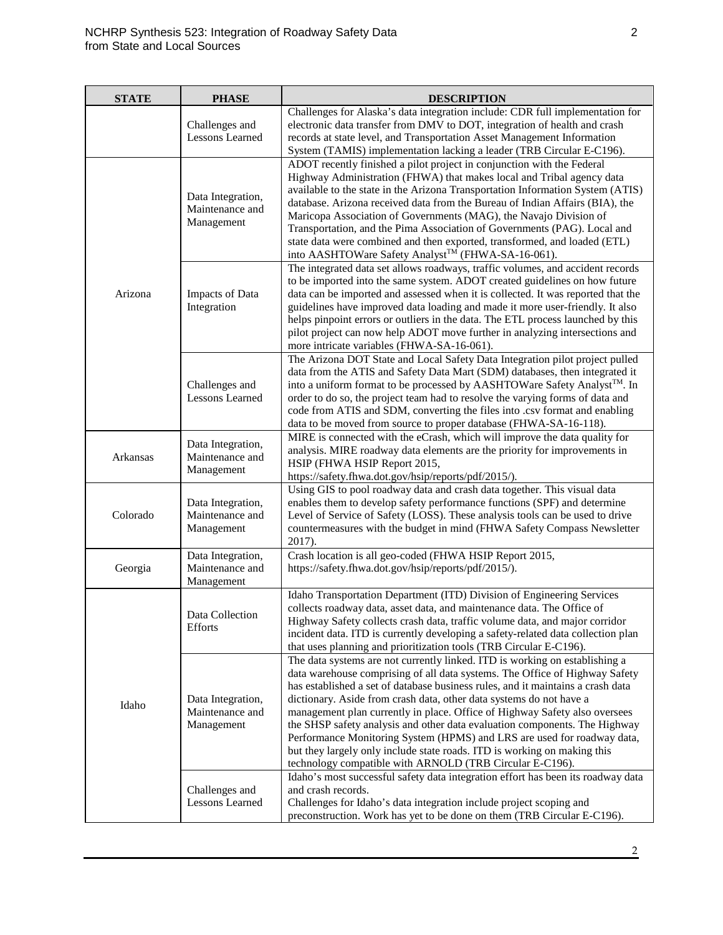| <b>STATE</b> | <b>PHASE</b>                                       | <b>DESCRIPTION</b>                                                                                                                                                                                                                                                                                                                                                                                                                                                                                                                                                                                                                                                                                  |
|--------------|----------------------------------------------------|-----------------------------------------------------------------------------------------------------------------------------------------------------------------------------------------------------------------------------------------------------------------------------------------------------------------------------------------------------------------------------------------------------------------------------------------------------------------------------------------------------------------------------------------------------------------------------------------------------------------------------------------------------------------------------------------------------|
|              | Challenges and<br><b>Lessons Learned</b>           | Challenges for Alaska's data integration include: CDR full implementation for<br>electronic data transfer from DMV to DOT, integration of health and crash<br>records at state level, and Transportation Asset Management Information<br>System (TAMIS) implementation lacking a leader (TRB Circular E-C196).                                                                                                                                                                                                                                                                                                                                                                                      |
| Arizona      | Data Integration,<br>Maintenance and<br>Management | ADOT recently finished a pilot project in conjunction with the Federal<br>Highway Administration (FHWA) that makes local and Tribal agency data<br>available to the state in the Arizona Transportation Information System (ATIS)<br>database. Arizona received data from the Bureau of Indian Affairs (BIA), the<br>Maricopa Association of Governments (MAG), the Navajo Division of<br>Transportation, and the Pima Association of Governments (PAG). Local and<br>state data were combined and then exported, transformed, and loaded (ETL)<br>into AASHTOWare Safety Analyst™ (FHWA-SA-16-061).                                                                                                |
|              | Impacts of Data<br>Integration                     | The integrated data set allows roadways, traffic volumes, and accident records<br>to be imported into the same system. ADOT created guidelines on how future<br>data can be imported and assessed when it is collected. It was reported that the<br>guidelines have improved data loading and made it more user-friendly. It also<br>helps pinpoint errors or outliers in the data. The ETL process launched by this<br>pilot project can now help ADOT move further in analyzing intersections and<br>more intricate variables (FHWA-SA-16-061).                                                                                                                                                   |
|              | Challenges and<br><b>Lessons Learned</b>           | The Arizona DOT State and Local Safety Data Integration pilot project pulled<br>data from the ATIS and Safety Data Mart (SDM) databases, then integrated it<br>into a uniform format to be processed by AASHTOWare Safety Analyst <sup>™</sup> . In<br>order to do so, the project team had to resolve the varying forms of data and<br>code from ATIS and SDM, converting the files into .csv format and enabling<br>data to be moved from source to proper database (FHWA-SA-16-118).                                                                                                                                                                                                             |
| Arkansas     | Data Integration,<br>Maintenance and<br>Management | MIRE is connected with the eCrash, which will improve the data quality for<br>analysis. MIRE roadway data elements are the priority for improvements in<br>HSIP (FHWA HSIP Report 2015,<br>https://safety.fhwa.dot.gov/hsip/reports/pdf/2015/).                                                                                                                                                                                                                                                                                                                                                                                                                                                     |
| Colorado     | Data Integration,<br>Maintenance and<br>Management | Using GIS to pool roadway data and crash data together. This visual data<br>enables them to develop safety performance functions (SPF) and determine<br>Level of Service of Safety (LOSS). These analysis tools can be used to drive<br>countermeasures with the budget in mind (FHWA Safety Compass Newsletter<br>2017).                                                                                                                                                                                                                                                                                                                                                                           |
| Georgia      | Data Integration,<br>Maintenance and<br>Management | Crash location is all geo-coded (FHWA HSIP Report 2015,<br>https://safety.fhwa.dot.gov/hsip/reports/pdf/2015/).                                                                                                                                                                                                                                                                                                                                                                                                                                                                                                                                                                                     |
| Idaho        | Data Collection<br><b>Efforts</b>                  | Idaho Transportation Department (ITD) Division of Engineering Services<br>collects roadway data, asset data, and maintenance data. The Office of<br>Highway Safety collects crash data, traffic volume data, and major corridor<br>incident data. ITD is currently developing a safety-related data collection plan<br>that uses planning and prioritization tools (TRB Circular E-C196).                                                                                                                                                                                                                                                                                                           |
|              | Data Integration,<br>Maintenance and<br>Management | The data systems are not currently linked. ITD is working on establishing a<br>data warehouse comprising of all data systems. The Office of Highway Safety<br>has established a set of database business rules, and it maintains a crash data<br>dictionary. Aside from crash data, other data systems do not have a<br>management plan currently in place. Office of Highway Safety also oversees<br>the SHSP safety analysis and other data evaluation components. The Highway<br>Performance Monitoring System (HPMS) and LRS are used for roadway data,<br>but they largely only include state roads. ITD is working on making this<br>technology compatible with ARNOLD (TRB Circular E-C196). |
|              | Challenges and<br><b>Lessons Learned</b>           | Idaho's most successful safety data integration effort has been its roadway data<br>and crash records.<br>Challenges for Idaho's data integration include project scoping and<br>preconstruction. Work has yet to be done on them (TRB Circular E-C196).                                                                                                                                                                                                                                                                                                                                                                                                                                            |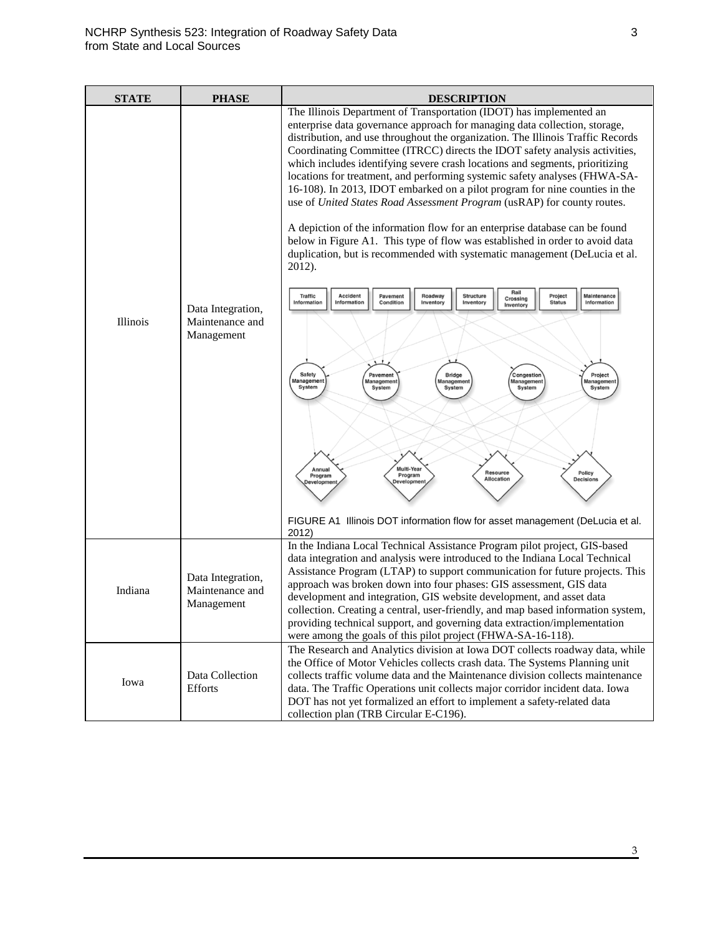| <b>STATE</b> | <b>PHASE</b>                                       | <b>DESCRIPTION</b>                                                                                                                                                                                                                                                                                                                                                                                                                                                                                                                                                                                                                                                                                                                                                                                                                                                                                                                                                                                                                                                                                                                                                                                                                                                                                                                                                                                                                                                                                                                                                     |
|--------------|----------------------------------------------------|------------------------------------------------------------------------------------------------------------------------------------------------------------------------------------------------------------------------------------------------------------------------------------------------------------------------------------------------------------------------------------------------------------------------------------------------------------------------------------------------------------------------------------------------------------------------------------------------------------------------------------------------------------------------------------------------------------------------------------------------------------------------------------------------------------------------------------------------------------------------------------------------------------------------------------------------------------------------------------------------------------------------------------------------------------------------------------------------------------------------------------------------------------------------------------------------------------------------------------------------------------------------------------------------------------------------------------------------------------------------------------------------------------------------------------------------------------------------------------------------------------------------------------------------------------------------|
| Illinois     | Data Integration,<br>Maintenance and<br>Management | The Illinois Department of Transportation (IDOT) has implemented an<br>enterprise data governance approach for managing data collection, storage,<br>distribution, and use throughout the organization. The Illinois Traffic Records<br>Coordinating Committee (ITRCC) directs the IDOT safety analysis activities,<br>which includes identifying severe crash locations and segments, prioritizing<br>locations for treatment, and performing systemic safety analyses (FHWA-SA-<br>16-108). In 2013, IDOT embarked on a pilot program for nine counties in the<br>use of United States Road Assessment Program (usRAP) for county routes.<br>A depiction of the information flow for an enterprise database can be found<br>below in Figure A1. This type of flow was established in order to avoid data<br>duplication, but is recommended with systematic management (DeLucia et al.<br>2012).<br>Rail<br><b>Traffic</b><br><b>Accident</b><br>Roadway<br>Structure<br>Project<br>Maintenance<br>Pavement<br>Crossing<br>Information<br>Information<br>Condition<br>Inventory<br>Inventory<br><b>Status</b><br>Information<br>Inventory<br>Safety<br><b>Bridge</b><br>Congestion<br>Project<br>Pavement<br>Management<br>Management<br>Management<br>Management<br>Management<br>System<br>System<br>System<br>System<br>System<br>Multi-Year<br>Annual<br>Resource<br>Policy<br>Program<br>Program<br><b>Allocation</b><br><b>Decisions</b><br>Development<br>evelopment<br>FIGURE A1 Illinois DOT information flow for asset management (DeLucia et al.<br>2012) |
| Indiana      | Data Integration,<br>Maintenance and<br>Management | In the Indiana Local Technical Assistance Program pilot project, GIS-based<br>data integration and analysis were introduced to the Indiana Local Technical<br>Assistance Program (LTAP) to support communication for future projects. This<br>approach was broken down into four phases: GIS assessment, GIS data<br>development and integration, GIS website development, and asset data<br>collection. Creating a central, user-friendly, and map based information system,<br>providing technical support, and governing data extraction/implementation<br>were among the goals of this pilot project (FHWA-SA-16-118).                                                                                                                                                                                                                                                                                                                                                                                                                                                                                                                                                                                                                                                                                                                                                                                                                                                                                                                                             |
| Iowa         | Data Collection<br><b>Efforts</b>                  | The Research and Analytics division at Iowa DOT collects roadway data, while<br>the Office of Motor Vehicles collects crash data. The Systems Planning unit<br>collects traffic volume data and the Maintenance division collects maintenance<br>data. The Traffic Operations unit collects major corridor incident data. Iowa<br>DOT has not yet formalized an effort to implement a safety-related data<br>collection plan (TRB Circular E-C196).                                                                                                                                                                                                                                                                                                                                                                                                                                                                                                                                                                                                                                                                                                                                                                                                                                                                                                                                                                                                                                                                                                                    |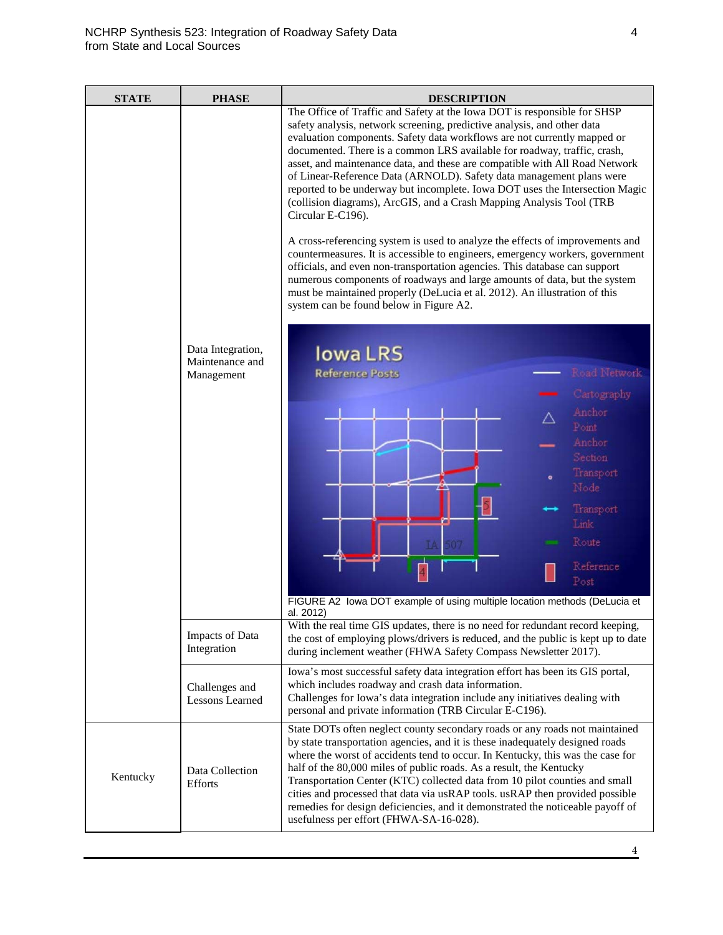| <b>STATE</b> | <b>PHASE</b>                                       | <b>DESCRIPTION</b>                                                                                                                                                                                                                                                                                                                                                                                                                                                                                                                                                                                                                                                                                                                                                                                                                                                                                                                                                                                                                                                                                                                                                                                                                                                                                                                                                                                |
|--------------|----------------------------------------------------|---------------------------------------------------------------------------------------------------------------------------------------------------------------------------------------------------------------------------------------------------------------------------------------------------------------------------------------------------------------------------------------------------------------------------------------------------------------------------------------------------------------------------------------------------------------------------------------------------------------------------------------------------------------------------------------------------------------------------------------------------------------------------------------------------------------------------------------------------------------------------------------------------------------------------------------------------------------------------------------------------------------------------------------------------------------------------------------------------------------------------------------------------------------------------------------------------------------------------------------------------------------------------------------------------------------------------------------------------------------------------------------------------|
|              | Data Integration,<br>Maintenance and<br>Management | The Office of Traffic and Safety at the Iowa DOT is responsible for SHSP<br>safety analysis, network screening, predictive analysis, and other data<br>evaluation components. Safety data workflows are not currently mapped or<br>documented. There is a common LRS available for roadway, traffic, crash,<br>asset, and maintenance data, and these are compatible with All Road Network<br>of Linear-Reference Data (ARNOLD). Safety data management plans were<br>reported to be underway but incomplete. Iowa DOT uses the Intersection Magic<br>(collision diagrams), ArcGIS, and a Crash Mapping Analysis Tool (TRB<br>Circular E-C196).<br>A cross-referencing system is used to analyze the effects of improvements and<br>countermeasures. It is accessible to engineers, emergency workers, government<br>officials, and even non-transportation agencies. This database can support<br>numerous components of roadways and large amounts of data, but the system<br>must be maintained properly (DeLucia et al. 2012). An illustration of this<br>system can be found below in Figure A2.<br><b>lowa LRS</b><br>Road Network<br><b>Reference Posts</b><br>Cartography<br>Anchor<br>Point<br>Anchor<br>Section<br>Transport<br>Node<br>Transport<br>Link.<br>Route<br>Reference<br>$\overline{4}$<br>Post<br>FIGURE A2 lowa DOT example of using multiple location methods (DeLucia et |
|              | Impacts of Data<br>Integration                     | al. 2012)<br>With the real time GIS updates, there is no need for redundant record keeping,<br>the cost of employing plows/drivers is reduced, and the public is kept up to date<br>during inclement weather (FHWA Safety Compass Newsletter 2017).                                                                                                                                                                                                                                                                                                                                                                                                                                                                                                                                                                                                                                                                                                                                                                                                                                                                                                                                                                                                                                                                                                                                               |
|              | Challenges and<br>Lessons Learned                  | Iowa's most successful safety data integration effort has been its GIS portal,<br>which includes roadway and crash data information.<br>Challenges for Iowa's data integration include any initiatives dealing with<br>personal and private information (TRB Circular E-C196).                                                                                                                                                                                                                                                                                                                                                                                                                                                                                                                                                                                                                                                                                                                                                                                                                                                                                                                                                                                                                                                                                                                    |
| Kentucky     | Data Collection<br><b>Efforts</b>                  | State DOTs often neglect county secondary roads or any roads not maintained<br>by state transportation agencies, and it is these inadequately designed roads<br>where the worst of accidents tend to occur. In Kentucky, this was the case for<br>half of the 80,000 miles of public roads. As a result, the Kentucky<br>Transportation Center (KTC) collected data from 10 pilot counties and small<br>cities and processed that data via usRAP tools. usRAP then provided possible<br>remedies for design deficiencies, and it demonstrated the noticeable payoff of<br>usefulness per effort (FHWA-SA-16-028).                                                                                                                                                                                                                                                                                                                                                                                                                                                                                                                                                                                                                                                                                                                                                                                 |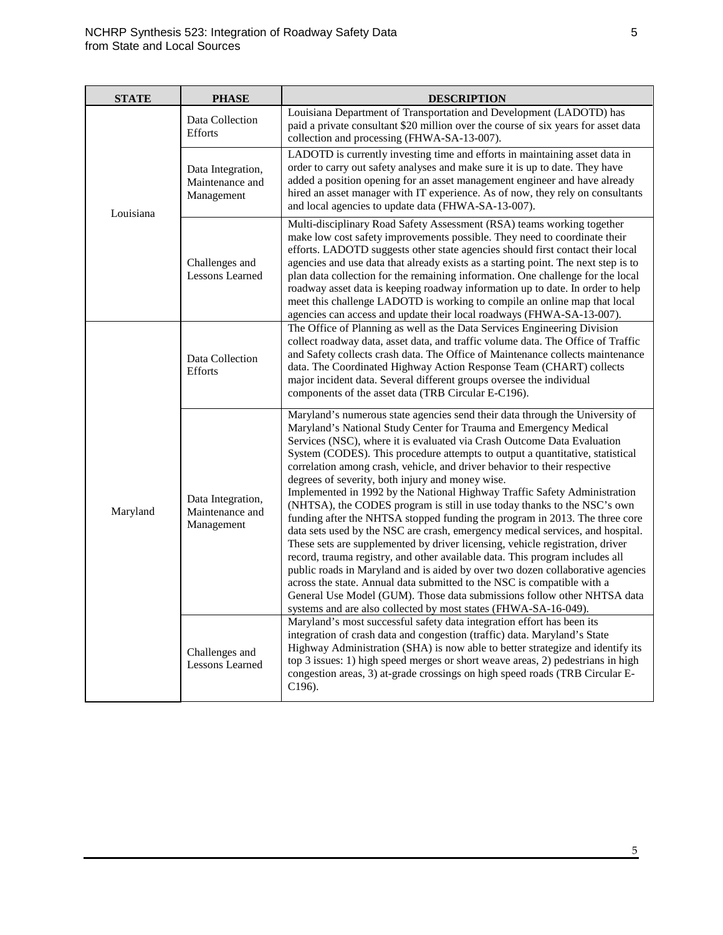| <b>STATE</b> | <b>PHASE</b>                                       | <b>DESCRIPTION</b>                                                                                                                                                                                                                                                                                                                                                                                                                                                                                                                                                                                                                                                                                                                                                                                                                                                                                                                                                                                                                                                                                                                                                                                                                                   |
|--------------|----------------------------------------------------|------------------------------------------------------------------------------------------------------------------------------------------------------------------------------------------------------------------------------------------------------------------------------------------------------------------------------------------------------------------------------------------------------------------------------------------------------------------------------------------------------------------------------------------------------------------------------------------------------------------------------------------------------------------------------------------------------------------------------------------------------------------------------------------------------------------------------------------------------------------------------------------------------------------------------------------------------------------------------------------------------------------------------------------------------------------------------------------------------------------------------------------------------------------------------------------------------------------------------------------------------|
| Louisiana    | Data Collection<br><b>Efforts</b>                  | Louisiana Department of Transportation and Development (LADOTD) has<br>paid a private consultant \$20 million over the course of six years for asset data<br>collection and processing (FHWA-SA-13-007).                                                                                                                                                                                                                                                                                                                                                                                                                                                                                                                                                                                                                                                                                                                                                                                                                                                                                                                                                                                                                                             |
|              | Data Integration,<br>Maintenance and<br>Management | LADOTD is currently investing time and efforts in maintaining asset data in<br>order to carry out safety analyses and make sure it is up to date. They have<br>added a position opening for an asset management engineer and have already<br>hired an asset manager with IT experience. As of now, they rely on consultants<br>and local agencies to update data (FHWA-SA-13-007).                                                                                                                                                                                                                                                                                                                                                                                                                                                                                                                                                                                                                                                                                                                                                                                                                                                                   |
|              | Challenges and<br><b>Lessons Learned</b>           | Multi-disciplinary Road Safety Assessment (RSA) teams working together<br>make low cost safety improvements possible. They need to coordinate their<br>efforts. LADOTD suggests other state agencies should first contact their local<br>agencies and use data that already exists as a starting point. The next step is to<br>plan data collection for the remaining information. One challenge for the local<br>roadway asset data is keeping roadway information up to date. In order to help<br>meet this challenge LADOTD is working to compile an online map that local<br>agencies can access and update their local roadways (FHWA-SA-13-007).                                                                                                                                                                                                                                                                                                                                                                                                                                                                                                                                                                                               |
| Maryland     | Data Collection<br><b>Efforts</b>                  | The Office of Planning as well as the Data Services Engineering Division<br>collect roadway data, asset data, and traffic volume data. The Office of Traffic<br>and Safety collects crash data. The Office of Maintenance collects maintenance<br>data. The Coordinated Highway Action Response Team (CHART) collects<br>major incident data. Several different groups oversee the individual<br>components of the asset data (TRB Circular E-C196).                                                                                                                                                                                                                                                                                                                                                                                                                                                                                                                                                                                                                                                                                                                                                                                                 |
|              | Data Integration,<br>Maintenance and<br>Management | Maryland's numerous state agencies send their data through the University of<br>Maryland's National Study Center for Trauma and Emergency Medical<br>Services (NSC), where it is evaluated via Crash Outcome Data Evaluation<br>System (CODES). This procedure attempts to output a quantitative, statistical<br>correlation among crash, vehicle, and driver behavior to their respective<br>degrees of severity, both injury and money wise.<br>Implemented in 1992 by the National Highway Traffic Safety Administration<br>(NHTSA), the CODES program is still in use today thanks to the NSC's own<br>funding after the NHTSA stopped funding the program in 2013. The three core<br>data sets used by the NSC are crash, emergency medical services, and hospital.<br>These sets are supplemented by driver licensing, vehicle registration, driver<br>record, trauma registry, and other available data. This program includes all<br>public roads in Maryland and is aided by over two dozen collaborative agencies<br>across the state. Annual data submitted to the NSC is compatible with a<br>General Use Model (GUM). Those data submissions follow other NHTSA data<br>systems and are also collected by most states (FHWA-SA-16-049). |
|              | Challenges and<br><b>Lessons Learned</b>           | Maryland's most successful safety data integration effort has been its<br>integration of crash data and congestion (traffic) data. Maryland's State<br>Highway Administration (SHA) is now able to better strategize and identify its<br>top 3 issues: 1) high speed merges or short weave areas, 2) pedestrians in high<br>congestion areas, 3) at-grade crossings on high speed roads (TRB Circular E-<br>C196).                                                                                                                                                                                                                                                                                                                                                                                                                                                                                                                                                                                                                                                                                                                                                                                                                                   |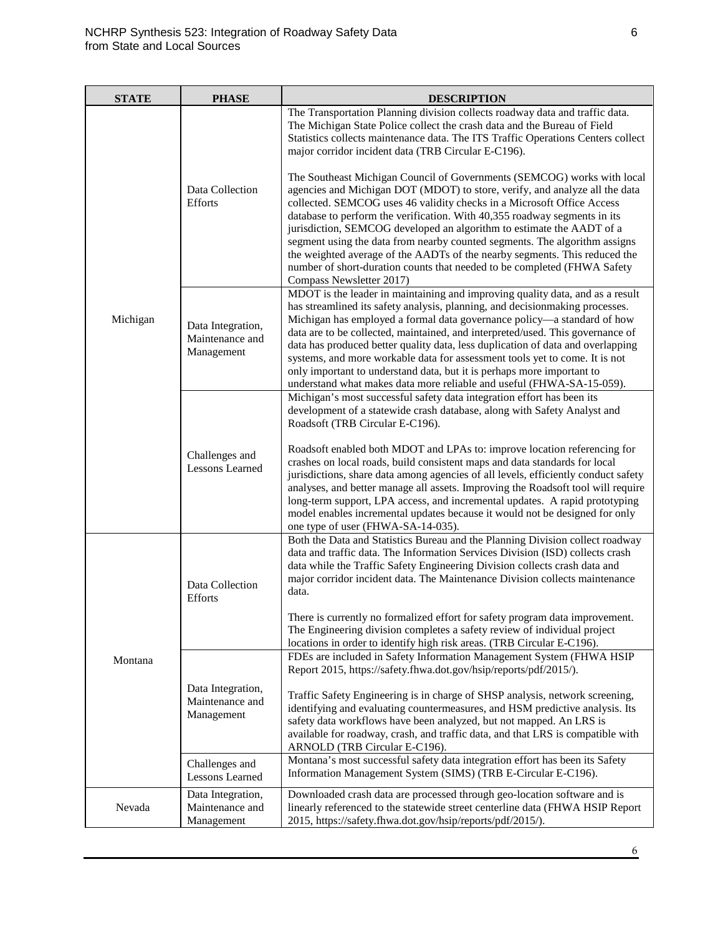| <b>STATE</b> | <b>PHASE</b>                                                         | <b>DESCRIPTION</b>                                                                                                                                                                                                                                                                                                                                                                                                                                                                                                                                                                                                                                                                                                            |
|--------------|----------------------------------------------------------------------|-------------------------------------------------------------------------------------------------------------------------------------------------------------------------------------------------------------------------------------------------------------------------------------------------------------------------------------------------------------------------------------------------------------------------------------------------------------------------------------------------------------------------------------------------------------------------------------------------------------------------------------------------------------------------------------------------------------------------------|
| Michigan     |                                                                      | The Transportation Planning division collects roadway data and traffic data.<br>The Michigan State Police collect the crash data and the Bureau of Field<br>Statistics collects maintenance data. The ITS Traffic Operations Centers collect<br>major corridor incident data (TRB Circular E-C196).                                                                                                                                                                                                                                                                                                                                                                                                                           |
|              | Data Collection<br><b>Efforts</b>                                    | The Southeast Michigan Council of Governments (SEMCOG) works with local<br>agencies and Michigan DOT (MDOT) to store, verify, and analyze all the data<br>collected. SEMCOG uses 46 validity checks in a Microsoft Office Access<br>database to perform the verification. With 40,355 roadway segments in its<br>jurisdiction, SEMCOG developed an algorithm to estimate the AADT of a<br>segment using the data from nearby counted segments. The algorithm assigns<br>the weighted average of the AADTs of the nearby segments. This reduced the<br>number of short-duration counts that needed to be completed (FHWA Safety<br>Compass Newsletter 2017)                                                                    |
|              | Data Integration,<br>Maintenance and<br>Management                   | MDOT is the leader in maintaining and improving quality data, and as a result<br>has streamlined its safety analysis, planning, and decisionmaking processes.<br>Michigan has employed a formal data governance policy—a standard of how<br>data are to be collected, maintained, and interpreted/used. This governance of<br>data has produced better quality data, less duplication of data and overlapping<br>systems, and more workable data for assessment tools yet to come. It is not<br>only important to understand data, but it is perhaps more important to<br>understand what makes data more reliable and useful (FHWA-SA-15-059).                                                                               |
|              | Challenges and<br><b>Lessons Learned</b>                             | Michigan's most successful safety data integration effort has been its<br>development of a statewide crash database, along with Safety Analyst and<br>Roadsoft (TRB Circular E-C196).<br>Roadsoft enabled both MDOT and LPAs to: improve location referencing for<br>crashes on local roads, build consistent maps and data standards for local<br>jurisdictions, share data among agencies of all levels, efficiently conduct safety<br>analyses, and better manage all assets. Improving the Roadsoft tool will require<br>long-term support, LPA access, and incremental updates. A rapid prototyping<br>model enables incremental updates because it would not be designed for only<br>one type of user (FHWA-SA-14-035). |
| Montana      | Data Collection<br>Efforts                                           | Both the Data and Statistics Bureau and the Planning Division collect roadway<br>data and traffic data. The Information Services Division (ISD) collects crash<br>data while the Traffic Safety Engineering Division collects crash data and<br>major corridor incident data. The Maintenance Division collects maintenance<br>data.<br>There is currently no formalized effort for safety program data improvement.<br>The Engineering division completes a safety review of individual project<br>locations in order to identify high risk areas. (TRB Circular E-C196).                                                                                                                                                    |
|              | Data Integration,<br>Maintenance and<br>Management<br>Challenges and | FDEs are included in Safety Information Management System (FHWA HSIP<br>Report 2015, https://safety.fhwa.dot.gov/hsip/reports/pdf/2015/).<br>Traffic Safety Engineering is in charge of SHSP analysis, network screening,<br>identifying and evaluating countermeasures, and HSM predictive analysis. Its<br>safety data workflows have been analyzed, but not mapped. An LRS is<br>available for roadway, crash, and traffic data, and that LRS is compatible with<br>ARNOLD (TRB Circular E-C196).<br>Montana's most successful safety data integration effort has been its Safety                                                                                                                                          |
|              | <b>Lessons Learned</b>                                               | Information Management System (SIMS) (TRB E-Circular E-C196).                                                                                                                                                                                                                                                                                                                                                                                                                                                                                                                                                                                                                                                                 |
| Nevada       | Data Integration,<br>Maintenance and<br>Management                   | Downloaded crash data are processed through geo-location software and is<br>linearly referenced to the statewide street centerline data (FHWA HSIP Report<br>2015, https://safety.fhwa.dot.gov/hsip/reports/pdf/2015/).                                                                                                                                                                                                                                                                                                                                                                                                                                                                                                       |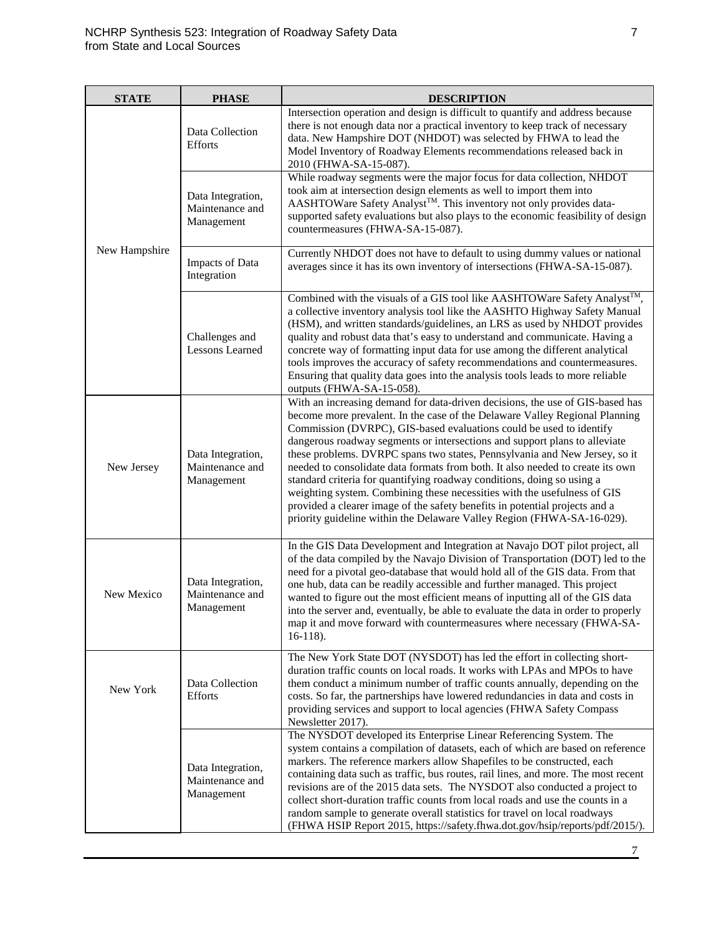| <b>STATE</b>  | <b>PHASE</b>                                       | <b>DESCRIPTION</b>                                                                                                                                                                                                                                                                                                                                                                                                                                                                                                                                                                                                                                                                                                                                                                               |
|---------------|----------------------------------------------------|--------------------------------------------------------------------------------------------------------------------------------------------------------------------------------------------------------------------------------------------------------------------------------------------------------------------------------------------------------------------------------------------------------------------------------------------------------------------------------------------------------------------------------------------------------------------------------------------------------------------------------------------------------------------------------------------------------------------------------------------------------------------------------------------------|
|               | Data Collection<br><b>Efforts</b>                  | Intersection operation and design is difficult to quantify and address because<br>there is not enough data nor a practical inventory to keep track of necessary<br>data. New Hampshire DOT (NHDOT) was selected by FHWA to lead the<br>Model Inventory of Roadway Elements recommendations released back in<br>2010 (FHWA-SA-15-087).                                                                                                                                                                                                                                                                                                                                                                                                                                                            |
|               | Data Integration,<br>Maintenance and<br>Management | While roadway segments were the major focus for data collection, NHDOT<br>took aim at intersection design elements as well to import them into<br>AASHTOWare Safety Analyst™. This inventory not only provides data-<br>supported safety evaluations but also plays to the economic feasibility of design<br>countermeasures (FHWA-SA-15-087).                                                                                                                                                                                                                                                                                                                                                                                                                                                   |
| New Hampshire | Impacts of Data<br>Integration                     | Currently NHDOT does not have to default to using dummy values or national<br>averages since it has its own inventory of intersections (FHWA-SA-15-087).                                                                                                                                                                                                                                                                                                                                                                                                                                                                                                                                                                                                                                         |
|               | Challenges and<br><b>Lessons Learned</b>           | Combined with the visuals of a GIS tool like AASHTOWare Safety Analyst™,<br>a collective inventory analysis tool like the AASHTO Highway Safety Manual<br>(HSM), and written standards/guidelines, an LRS as used by NHDOT provides<br>quality and robust data that's easy to understand and communicate. Having a<br>concrete way of formatting input data for use among the different analytical<br>tools improves the accuracy of safety recommendations and countermeasures.<br>Ensuring that quality data goes into the analysis tools leads to more reliable<br>outputs (FHWA-SA-15-058).                                                                                                                                                                                                  |
| New Jersey    | Data Integration,<br>Maintenance and<br>Management | With an increasing demand for data-driven decisions, the use of GIS-based has<br>become more prevalent. In the case of the Delaware Valley Regional Planning<br>Commission (DVRPC), GIS-based evaluations could be used to identify<br>dangerous roadway segments or intersections and support plans to alleviate<br>these problems. DVRPC spans two states, Pennsylvania and New Jersey, so it<br>needed to consolidate data formats from both. It also needed to create its own<br>standard criteria for quantifying roadway conditions, doing so using a<br>weighting system. Combining these necessities with the usefulness of GIS<br>provided a clearer image of the safety benefits in potential projects and a<br>priority guideline within the Delaware Valley Region (FHWA-SA-16-029). |
| New Mexico    | Data Integration,<br>Maintenance and<br>Management | In the GIS Data Development and Integration at Navajo DOT pilot project, all<br>of the data compiled by the Navajo Division of Transportation (DOT) led to the<br>need for a pivotal geo-database that would hold all of the GIS data. From that<br>one hub, data can be readily accessible and further managed. This project<br>wanted to figure out the most efficient means of inputting all of the GIS data<br>into the server and, eventually, be able to evaluate the data in order to properly<br>map it and move forward with countermeasures where necessary (FHWA-SA-<br>$16-118$ ).                                                                                                                                                                                                   |
| New York      | Data Collection<br><b>Efforts</b>                  | The New York State DOT (NYSDOT) has led the effort in collecting short-<br>duration traffic counts on local roads. It works with LPAs and MPOs to have<br>them conduct a minimum number of traffic counts annually, depending on the<br>costs. So far, the partnerships have lowered redundancies in data and costs in<br>providing services and support to local agencies (FHWA Safety Compass<br>Newsletter 2017).                                                                                                                                                                                                                                                                                                                                                                             |
|               | Data Integration,<br>Maintenance and<br>Management | The NYSDOT developed its Enterprise Linear Referencing System. The<br>system contains a compilation of datasets, each of which are based on reference<br>markers. The reference markers allow Shapefiles to be constructed, each<br>containing data such as traffic, bus routes, rail lines, and more. The most recent<br>revisions are of the 2015 data sets. The NYSDOT also conducted a project to<br>collect short-duration traffic counts from local roads and use the counts in a<br>random sample to generate overall statistics for travel on local roadways<br>(FHWA HSIP Report 2015, https://safety.fhwa.dot.gov/hsip/reports/pdf/2015/).                                                                                                                                             |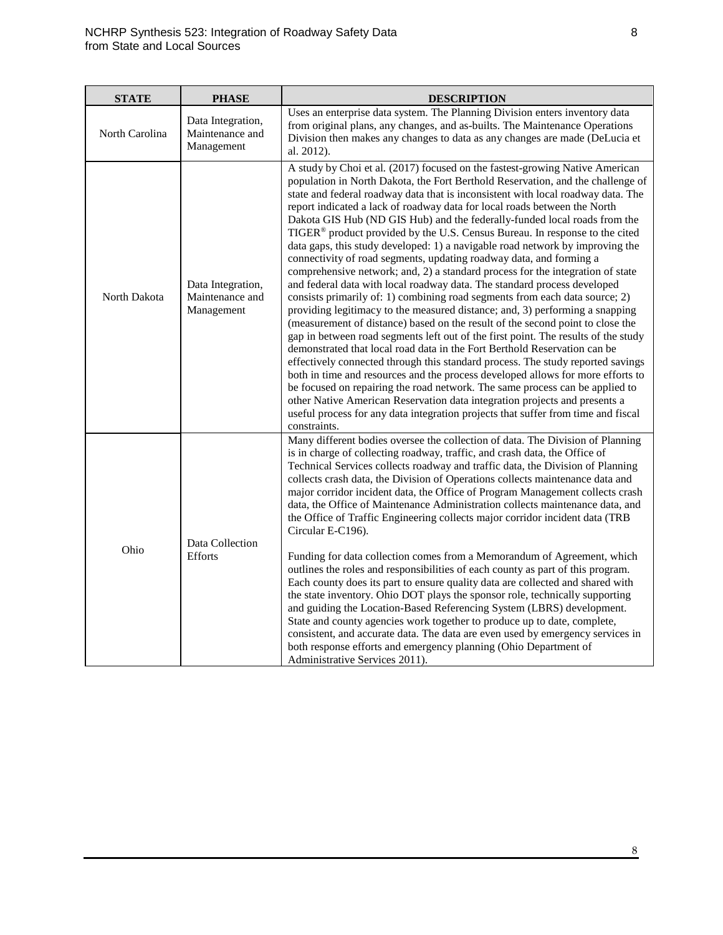| <b>STATE</b>   | <b>PHASE</b>                                       | <b>DESCRIPTION</b>                                                                                                                                                                                                                                                                                                                                                                                                                                                                                                                                                                                                                                                                                                                                                                                                                                                                                                                                                                                                                                                                                                                                                                                                                                                                                                                                                                                                                                                                                                                                                                                                                                                                          |
|----------------|----------------------------------------------------|---------------------------------------------------------------------------------------------------------------------------------------------------------------------------------------------------------------------------------------------------------------------------------------------------------------------------------------------------------------------------------------------------------------------------------------------------------------------------------------------------------------------------------------------------------------------------------------------------------------------------------------------------------------------------------------------------------------------------------------------------------------------------------------------------------------------------------------------------------------------------------------------------------------------------------------------------------------------------------------------------------------------------------------------------------------------------------------------------------------------------------------------------------------------------------------------------------------------------------------------------------------------------------------------------------------------------------------------------------------------------------------------------------------------------------------------------------------------------------------------------------------------------------------------------------------------------------------------------------------------------------------------------------------------------------------------|
| North Carolina | Data Integration,<br>Maintenance and<br>Management | Uses an enterprise data system. The Planning Division enters inventory data<br>from original plans, any changes, and as-builts. The Maintenance Operations<br>Division then makes any changes to data as any changes are made (DeLucia et<br>al. 2012).                                                                                                                                                                                                                                                                                                                                                                                                                                                                                                                                                                                                                                                                                                                                                                                                                                                                                                                                                                                                                                                                                                                                                                                                                                                                                                                                                                                                                                     |
| North Dakota   | Data Integration,<br>Maintenance and<br>Management | A study by Choi et al. (2017) focused on the fastest-growing Native American<br>population in North Dakota, the Fort Berthold Reservation, and the challenge of<br>state and federal roadway data that is inconsistent with local roadway data. The<br>report indicated a lack of roadway data for local roads between the North<br>Dakota GIS Hub (ND GIS Hub) and the federally-funded local roads from the<br>TIGER <sup>®</sup> product provided by the U.S. Census Bureau. In response to the cited<br>data gaps, this study developed: 1) a navigable road network by improving the<br>connectivity of road segments, updating roadway data, and forming a<br>comprehensive network; and, 2) a standard process for the integration of state<br>and federal data with local roadway data. The standard process developed<br>consists primarily of: 1) combining road segments from each data source; 2)<br>providing legitimacy to the measured distance; and, 3) performing a snapping<br>(measurement of distance) based on the result of the second point to close the<br>gap in between road segments left out of the first point. The results of the study<br>demonstrated that local road data in the Fort Berthold Reservation can be<br>effectively connected through this standard process. The study reported savings<br>both in time and resources and the process developed allows for more efforts to<br>be focused on repairing the road network. The same process can be applied to<br>other Native American Reservation data integration projects and presents a<br>useful process for any data integration projects that suffer from time and fiscal<br>constraints. |
| Ohio           | Data Collection<br><b>Efforts</b>                  | Many different bodies oversee the collection of data. The Division of Planning<br>is in charge of collecting roadway, traffic, and crash data, the Office of<br>Technical Services collects roadway and traffic data, the Division of Planning<br>collects crash data, the Division of Operations collects maintenance data and<br>major corridor incident data, the Office of Program Management collects crash<br>data, the Office of Maintenance Administration collects maintenance data, and<br>the Office of Traffic Engineering collects major corridor incident data (TRB<br>Circular E-C196).<br>Funding for data collection comes from a Memorandum of Agreement, which<br>outlines the roles and responsibilities of each county as part of this program.<br>Each county does its part to ensure quality data are collected and shared with<br>the state inventory. Ohio DOT plays the sponsor role, technically supporting<br>and guiding the Location-Based Referencing System (LBRS) development.<br>State and county agencies work together to produce up to date, complete,<br>consistent, and accurate data. The data are even used by emergency services in<br>both response efforts and emergency planning (Ohio Department of<br>Administrative Services 2011).                                                                                                                                                                                                                                                                                                                                                                                                         |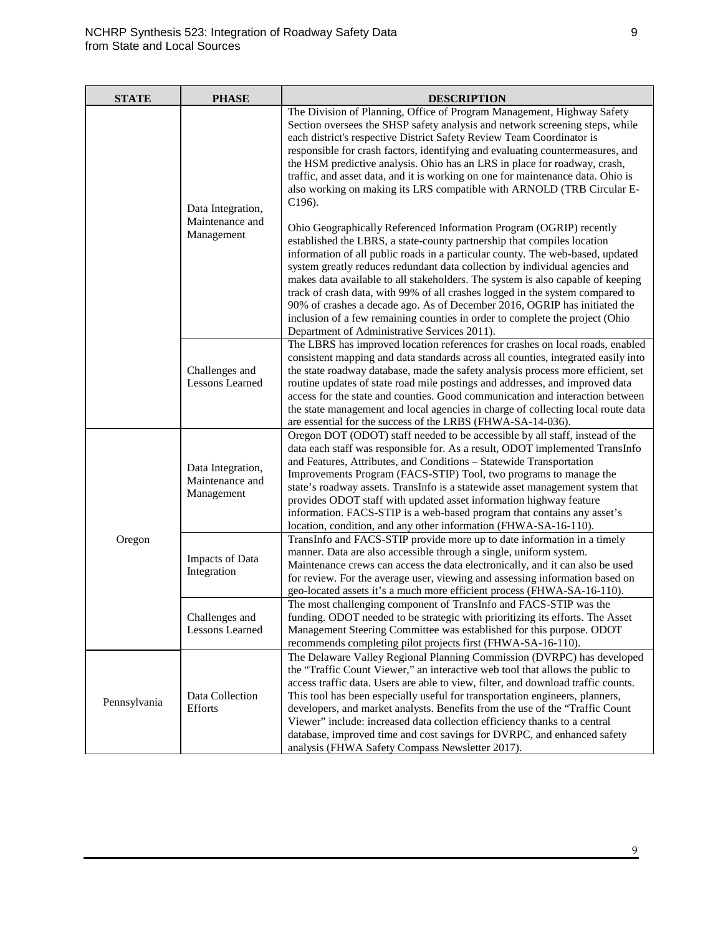| <b>STATE</b> | <b>PHASE</b>                                       | <b>DESCRIPTION</b>                                                                                                                                                                                                                                                                                                                                                                                                                                                                                                                                                                                                                                                                                                                                                                                                                                                                                                                                                                                                                                                                                                                           |
|--------------|----------------------------------------------------|----------------------------------------------------------------------------------------------------------------------------------------------------------------------------------------------------------------------------------------------------------------------------------------------------------------------------------------------------------------------------------------------------------------------------------------------------------------------------------------------------------------------------------------------------------------------------------------------------------------------------------------------------------------------------------------------------------------------------------------------------------------------------------------------------------------------------------------------------------------------------------------------------------------------------------------------------------------------------------------------------------------------------------------------------------------------------------------------------------------------------------------------|
|              | Data Integration,<br>Maintenance and<br>Management | The Division of Planning, Office of Program Management, Highway Safety<br>Section oversees the SHSP safety analysis and network screening steps, while<br>each district's respective District Safety Review Team Coordinator is<br>responsible for crash factors, identifying and evaluating countermeasures, and<br>the HSM predictive analysis. Ohio has an LRS in place for roadway, crash,<br>traffic, and asset data, and it is working on one for maintenance data. Ohio is<br>also working on making its LRS compatible with ARNOLD (TRB Circular E-<br>$C196$ ).<br>Ohio Geographically Referenced Information Program (OGRIP) recently<br>established the LBRS, a state-county partnership that compiles location<br>information of all public roads in a particular county. The web-based, updated<br>system greatly reduces redundant data collection by individual agencies and<br>makes data available to all stakeholders. The system is also capable of keeping<br>track of crash data, with 99% of all crashes logged in the system compared to<br>90% of crashes a decade ago. As of December 2016, OGRIP has initiated the |
|              |                                                    | inclusion of a few remaining counties in order to complete the project (Ohio<br>Department of Administrative Services 2011).                                                                                                                                                                                                                                                                                                                                                                                                                                                                                                                                                                                                                                                                                                                                                                                                                                                                                                                                                                                                                 |
|              | Challenges and<br><b>Lessons Learned</b>           | The LBRS has improved location references for crashes on local roads, enabled<br>consistent mapping and data standards across all counties, integrated easily into<br>the state roadway database, made the safety analysis process more efficient, set<br>routine updates of state road mile postings and addresses, and improved data<br>access for the state and counties. Good communication and interaction between<br>the state management and local agencies in charge of collecting local route data<br>are essential for the success of the LRBS (FHWA-SA-14-036).                                                                                                                                                                                                                                                                                                                                                                                                                                                                                                                                                                   |
| Oregon       | Data Integration,<br>Maintenance and<br>Management | Oregon DOT (ODOT) staff needed to be accessible by all staff, instead of the<br>data each staff was responsible for. As a result, ODOT implemented TransInfo<br>and Features, Attributes, and Conditions - Statewide Transportation<br>Improvements Program (FACS-STIP) Tool, two programs to manage the<br>state's roadway assets. TransInfo is a statewide asset management system that<br>provides ODOT staff with updated asset information highway feature<br>information. FACS-STIP is a web-based program that contains any asset's<br>location, condition, and any other information (FHWA-SA-16-110).                                                                                                                                                                                                                                                                                                                                                                                                                                                                                                                               |
|              | Impacts of Data<br>Integration                     | TransInfo and FACS-STIP provide more up to date information in a timely<br>manner. Data are also accessible through a single, uniform system.<br>Maintenance crews can access the data electronically, and it can also be used<br>for review. For the average user, viewing and assessing information based on<br>geo-located assets it's a much more efficient process (FHWA-SA-16-110).                                                                                                                                                                                                                                                                                                                                                                                                                                                                                                                                                                                                                                                                                                                                                    |
|              | Challenges and<br>Lessons Learned                  | The most challenging component of TransInfo and FACS-STIP was the<br>funding. ODOT needed to be strategic with prioritizing its efforts. The Asset<br>Management Steering Committee was established for this purpose. ODOT<br>recommends completing pilot projects first (FHWA-SA-16-110).                                                                                                                                                                                                                                                                                                                                                                                                                                                                                                                                                                                                                                                                                                                                                                                                                                                   |
| Pennsylvania | Data Collection<br><b>Efforts</b>                  | The Delaware Valley Regional Planning Commission (DVRPC) has developed<br>the "Traffic Count Viewer," an interactive web tool that allows the public to<br>access traffic data. Users are able to view, filter, and download traffic counts.<br>This tool has been especially useful for transportation engineers, planners,<br>developers, and market analysts. Benefits from the use of the "Traffic Count<br>Viewer" include: increased data collection efficiency thanks to a central<br>database, improved time and cost savings for DVRPC, and enhanced safety<br>analysis (FHWA Safety Compass Newsletter 2017).                                                                                                                                                                                                                                                                                                                                                                                                                                                                                                                      |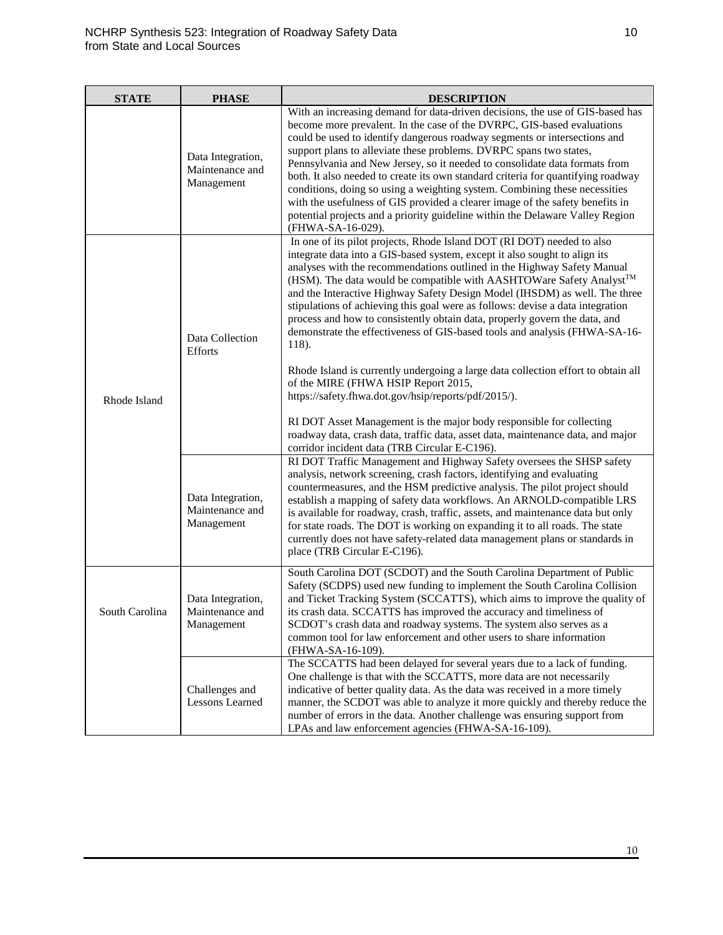| <b>STATE</b>   | <b>PHASE</b>                                       | <b>DESCRIPTION</b>                                                                                                                                                                                                                                                                                                                                                                                                                                                                                                                                                                                                                                                                                                                                                                                                                                                                                                                                                                                                                                      |
|----------------|----------------------------------------------------|---------------------------------------------------------------------------------------------------------------------------------------------------------------------------------------------------------------------------------------------------------------------------------------------------------------------------------------------------------------------------------------------------------------------------------------------------------------------------------------------------------------------------------------------------------------------------------------------------------------------------------------------------------------------------------------------------------------------------------------------------------------------------------------------------------------------------------------------------------------------------------------------------------------------------------------------------------------------------------------------------------------------------------------------------------|
|                | Data Integration,<br>Maintenance and<br>Management | With an increasing demand for data-driven decisions, the use of GIS-based has<br>become more prevalent. In the case of the DVRPC, GIS-based evaluations<br>could be used to identify dangerous roadway segments or intersections and<br>support plans to alleviate these problems. DVRPC spans two states,<br>Pennsylvania and New Jersey, so it needed to consolidate data formats from<br>both. It also needed to create its own standard criteria for quantifying roadway<br>conditions, doing so using a weighting system. Combining these necessities<br>with the usefulness of GIS provided a clearer image of the safety benefits in<br>potential projects and a priority guideline within the Delaware Valley Region<br>(FHWA-SA-16-029).                                                                                                                                                                                                                                                                                                       |
| Rhode Island   | Data Collection<br><b>Efforts</b>                  | In one of its pilot projects, Rhode Island DOT (RI DOT) needed to also<br>integrate data into a GIS-based system, except it also sought to align its<br>analyses with the recommendations outlined in the Highway Safety Manual<br>(HSM). The data would be compatible with AASHTOWare Safety Analyst <sup>™</sup><br>and the Interactive Highway Safety Design Model (IHSDM) as well. The three<br>stipulations of achieving this goal were as follows: devise a data integration<br>process and how to consistently obtain data, properly govern the data, and<br>demonstrate the effectiveness of GIS-based tools and analysis (FHWA-SA-16-<br>118).<br>Rhode Island is currently undergoing a large data collection effort to obtain all<br>of the MIRE (FHWA HSIP Report 2015,<br>https://safety.fhwa.dot.gov/hsip/reports/pdf/2015/).<br>RI DOT Asset Management is the major body responsible for collecting<br>roadway data, crash data, traffic data, asset data, maintenance data, and major<br>corridor incident data (TRB Circular E-C196). |
|                | Data Integration,<br>Maintenance and<br>Management | RI DOT Traffic Management and Highway Safety oversees the SHSP safety<br>analysis, network screening, crash factors, identifying and evaluating<br>countermeasures, and the HSM predictive analysis. The pilot project should<br>establish a mapping of safety data workflows. An ARNOLD-compatible LRS<br>is available for roadway, crash, traffic, assets, and maintenance data but only<br>for state roads. The DOT is working on expanding it to all roads. The state<br>currently does not have safety-related data management plans or standards in<br>place (TRB Circular E-C196).                                                                                                                                                                                                                                                                                                                                                                                                                                                               |
| South Carolina | Data Integration,<br>Maintenance and<br>Management | South Carolina DOT (SCDOT) and the South Carolina Department of Public<br>Safety (SCDPS) used new funding to implement the South Carolina Collision<br>and Ticket Tracking System (SCCATTS), which aims to improve the quality of<br>its crash data. SCCATTS has improved the accuracy and timeliness of<br>SCDOT's crash data and roadway systems. The system also serves as a<br>common tool for law enforcement and other users to share information<br>(FHWA-SA-16-109).                                                                                                                                                                                                                                                                                                                                                                                                                                                                                                                                                                            |
|                | Challenges and<br><b>Lessons Learned</b>           | The SCCATTS had been delayed for several years due to a lack of funding.<br>One challenge is that with the SCCATTS, more data are not necessarily<br>indicative of better quality data. As the data was received in a more timely<br>manner, the SCDOT was able to analyze it more quickly and thereby reduce the<br>number of errors in the data. Another challenge was ensuring support from<br>LPAs and law enforcement agencies (FHWA-SA-16-109).                                                                                                                                                                                                                                                                                                                                                                                                                                                                                                                                                                                                   |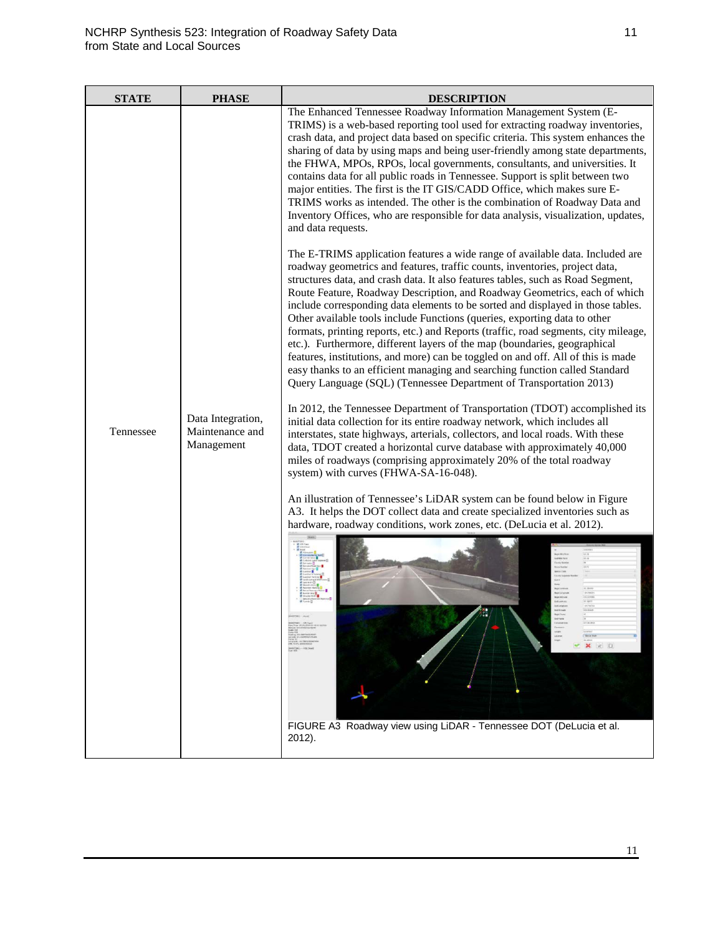| <b>STATE</b> | <b>PHASE</b>                                       | <b>DESCRIPTION</b>                                                                                                                                                                                                                                                                                                                                                                                                                                                                                                                                                                                                                                                                                                                                                                                                                                                                                        |
|--------------|----------------------------------------------------|-----------------------------------------------------------------------------------------------------------------------------------------------------------------------------------------------------------------------------------------------------------------------------------------------------------------------------------------------------------------------------------------------------------------------------------------------------------------------------------------------------------------------------------------------------------------------------------------------------------------------------------------------------------------------------------------------------------------------------------------------------------------------------------------------------------------------------------------------------------------------------------------------------------|
|              |                                                    | The Enhanced Tennessee Roadway Information Management System (E-<br>TRIMS) is a web-based reporting tool used for extracting roadway inventories,<br>crash data, and project data based on specific criteria. This system enhances the<br>sharing of data by using maps and being user-friendly among state departments,<br>the FHWA, MPOs, RPOs, local governments, consultants, and universities. It<br>contains data for all public roads in Tennessee. Support is split between two<br>major entities. The first is the IT GIS/CADD Office, which makes sure E-<br>TRIMS works as intended. The other is the combination of Roadway Data and<br>Inventory Offices, who are responsible for data analysis, visualization, updates,<br>and data requests.                                                                                                                                               |
|              |                                                    | The E-TRIMS application features a wide range of available data. Included are<br>roadway geometrics and features, traffic counts, inventories, project data,<br>structures data, and crash data. It also features tables, such as Road Segment,<br>Route Feature, Roadway Description, and Roadway Geometrics, each of which<br>include corresponding data elements to be sorted and displayed in those tables.<br>Other available tools include Functions (queries, exporting data to other<br>formats, printing reports, etc.) and Reports (traffic, road segments, city mileage,<br>etc.). Furthermore, different layers of the map (boundaries, geographical<br>features, institutions, and more) can be toggled on and off. All of this is made<br>easy thanks to an efficient managing and searching function called Standard<br>Query Language (SQL) (Tennessee Department of Transportation 2013) |
| Tennessee    | Data Integration,<br>Maintenance and<br>Management | In 2012, the Tennessee Department of Transportation (TDOT) accomplished its<br>initial data collection for its entire roadway network, which includes all<br>interstates, state highways, arterials, collectors, and local roads. With these<br>data, TDOT created a horizontal curve database with approximately 40,000<br>miles of roadways (comprising approximately 20% of the total roadway<br>system) with curves (FHWA-SA-16-048).                                                                                                                                                                                                                                                                                                                                                                                                                                                                 |
|              |                                                    | An illustration of Tennessee's LiDAR system can be found below in Figure<br>A3. It helps the DOT collect data and create specialized inventories such as                                                                                                                                                                                                                                                                                                                                                                                                                                                                                                                                                                                                                                                                                                                                                  |
|              |                                                    | hardware, roadway conditions, work zones, etc. (DeLucia et al. 2012).                                                                                                                                                                                                                                                                                                                                                                                                                                                                                                                                                                                                                                                                                                                                                                                                                                     |
|              |                                                    | FIGURE A3 Roadway view using LiDAR - Tennessee DOT (DeLucia et al.<br>2012).                                                                                                                                                                                                                                                                                                                                                                                                                                                                                                                                                                                                                                                                                                                                                                                                                              |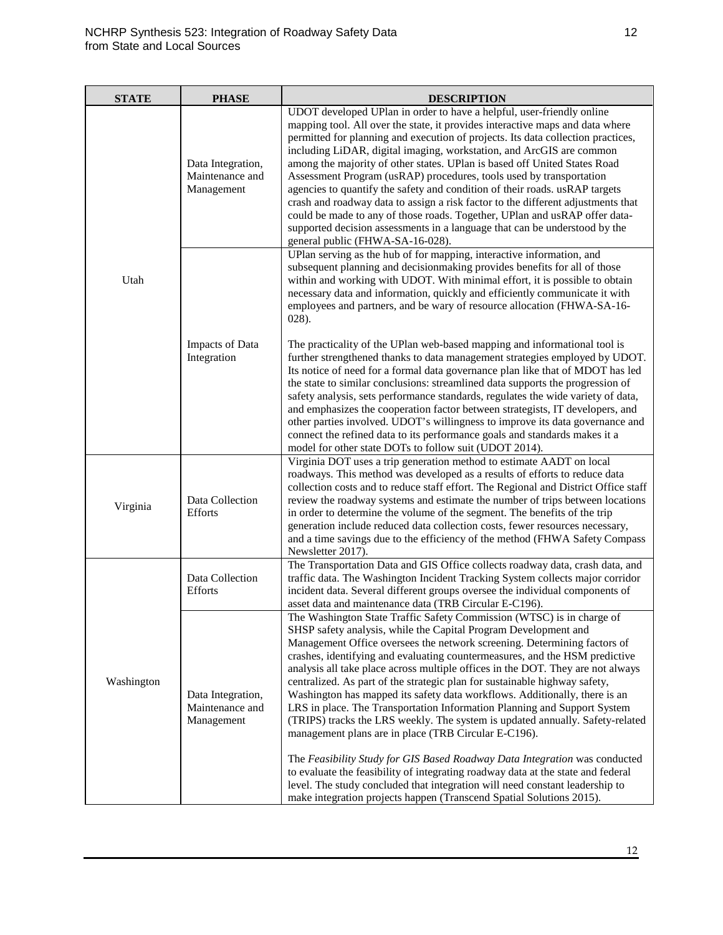| <b>STATE</b> | <b>PHASE</b>                                       | <b>DESCRIPTION</b>                                                                                                                                                                                                                                                                                                                                                                                                                                                                                                                                                                                                                                                                                                                                                                                                                                                                                                                                                                                                                                                                                |
|--------------|----------------------------------------------------|---------------------------------------------------------------------------------------------------------------------------------------------------------------------------------------------------------------------------------------------------------------------------------------------------------------------------------------------------------------------------------------------------------------------------------------------------------------------------------------------------------------------------------------------------------------------------------------------------------------------------------------------------------------------------------------------------------------------------------------------------------------------------------------------------------------------------------------------------------------------------------------------------------------------------------------------------------------------------------------------------------------------------------------------------------------------------------------------------|
|              | Data Integration,<br>Maintenance and<br>Management | UDOT developed UPlan in order to have a helpful, user-friendly online<br>mapping tool. All over the state, it provides interactive maps and data where<br>permitted for planning and execution of projects. Its data collection practices,<br>including LiDAR, digital imaging, workstation, and ArcGIS are common<br>among the majority of other states. UPlan is based off United States Road<br>Assessment Program (usRAP) procedures, tools used by transportation<br>agencies to quantify the safety and condition of their roads. usRAP targets<br>crash and roadway data to assign a risk factor to the different adjustments that<br>could be made to any of those roads. Together, UPlan and usRAP offer data-<br>supported decision assessments in a language that can be understood by the<br>general public (FHWA-SA-16-028).                                                                                                                                                                                                                                                         |
| Utah         |                                                    | UPlan serving as the hub of for mapping, interactive information, and<br>subsequent planning and decisionmaking provides benefits for all of those<br>within and working with UDOT. With minimal effort, it is possible to obtain<br>necessary data and information, quickly and efficiently communicate it with<br>employees and partners, and be wary of resource allocation (FHWA-SA-16-<br>$028$ ).                                                                                                                                                                                                                                                                                                                                                                                                                                                                                                                                                                                                                                                                                           |
|              | Impacts of Data<br>Integration                     | The practicality of the UPlan web-based mapping and informational tool is<br>further strengthened thanks to data management strategies employed by UDOT.<br>Its notice of need for a formal data governance plan like that of MDOT has led<br>the state to similar conclusions: streamlined data supports the progression of<br>safety analysis, sets performance standards, regulates the wide variety of data,<br>and emphasizes the cooperation factor between strategists, IT developers, and<br>other parties involved. UDOT's willingness to improve its data governance and<br>connect the refined data to its performance goals and standards makes it a<br>model for other state DOTs to follow suit (UDOT 2014).                                                                                                                                                                                                                                                                                                                                                                        |
| Virginia     | Data Collection<br><b>Efforts</b>                  | Virginia DOT uses a trip generation method to estimate AADT on local<br>roadways. This method was developed as a results of efforts to reduce data<br>collection costs and to reduce staff effort. The Regional and District Office staff<br>review the roadway systems and estimate the number of trips between locations<br>in order to determine the volume of the segment. The benefits of the trip<br>generation include reduced data collection costs, fewer resources necessary,<br>and a time savings due to the efficiency of the method (FHWA Safety Compass<br>Newsletter 2017).                                                                                                                                                                                                                                                                                                                                                                                                                                                                                                       |
| Washington   | Data Collection<br><b>Efforts</b>                  | The Transportation Data and GIS Office collects roadway data, crash data, and<br>traffic data. The Washington Incident Tracking System collects major corridor<br>incident data. Several different groups oversee the individual components of<br>asset data and maintenance data (TRB Circular E-C196).                                                                                                                                                                                                                                                                                                                                                                                                                                                                                                                                                                                                                                                                                                                                                                                          |
|              | Data Integration,<br>Maintenance and<br>Management | The Washington State Traffic Safety Commission (WTSC) is in charge of<br>SHSP safety analysis, while the Capital Program Development and<br>Management Office oversees the network screening. Determining factors of<br>crashes, identifying and evaluating countermeasures, and the HSM predictive<br>analysis all take place across multiple offices in the DOT. They are not always<br>centralized. As part of the strategic plan for sustainable highway safety,<br>Washington has mapped its safety data workflows. Additionally, there is an<br>LRS in place. The Transportation Information Planning and Support System<br>(TRIPS) tracks the LRS weekly. The system is updated annually. Safety-related<br>management plans are in place (TRB Circular E-C196).<br>The Feasibility Study for GIS Based Roadway Data Integration was conducted<br>to evaluate the feasibility of integrating roadway data at the state and federal<br>level. The study concluded that integration will need constant leadership to<br>make integration projects happen (Transcend Spatial Solutions 2015). |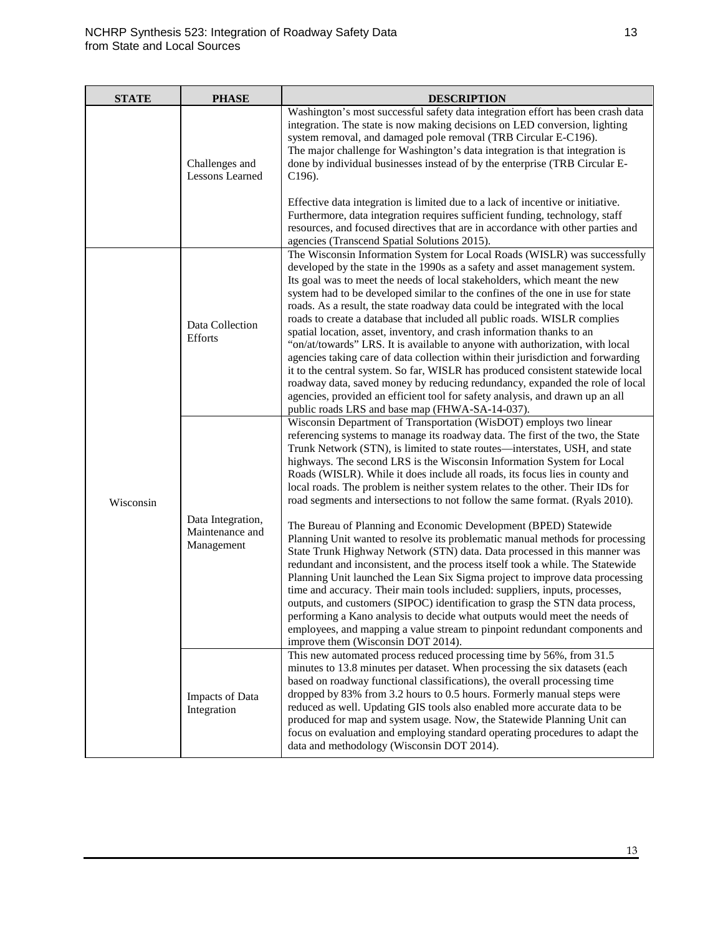| <b>STATE</b> | <b>PHASE</b>                                       | <b>DESCRIPTION</b>                                                                                                                                                                                                                                                                                                                                                                                                                                                                                                                                                                                                                                                                                                                                                                                                                                                                                                                                                                                                                                                                                                                                                                                                                                                                                                                   |
|--------------|----------------------------------------------------|--------------------------------------------------------------------------------------------------------------------------------------------------------------------------------------------------------------------------------------------------------------------------------------------------------------------------------------------------------------------------------------------------------------------------------------------------------------------------------------------------------------------------------------------------------------------------------------------------------------------------------------------------------------------------------------------------------------------------------------------------------------------------------------------------------------------------------------------------------------------------------------------------------------------------------------------------------------------------------------------------------------------------------------------------------------------------------------------------------------------------------------------------------------------------------------------------------------------------------------------------------------------------------------------------------------------------------------|
|              | Challenges and<br><b>Lessons Learned</b>           | Washington's most successful safety data integration effort has been crash data<br>integration. The state is now making decisions on LED conversion, lighting<br>system removal, and damaged pole removal (TRB Circular E-C196).<br>The major challenge for Washington's data integration is that integration is<br>done by individual businesses instead of by the enterprise (TRB Circular E-<br>$C196$ ).                                                                                                                                                                                                                                                                                                                                                                                                                                                                                                                                                                                                                                                                                                                                                                                                                                                                                                                         |
|              |                                                    | Effective data integration is limited due to a lack of incentive or initiative.<br>Furthermore, data integration requires sufficient funding, technology, staff<br>resources, and focused directives that are in accordance with other parties and<br>agencies (Transcend Spatial Solutions 2015).                                                                                                                                                                                                                                                                                                                                                                                                                                                                                                                                                                                                                                                                                                                                                                                                                                                                                                                                                                                                                                   |
| Wisconsin    | Data Collection<br><b>Efforts</b>                  | The Wisconsin Information System for Local Roads (WISLR) was successfully<br>developed by the state in the 1990s as a safety and asset management system.<br>Its goal was to meet the needs of local stakeholders, which meant the new<br>system had to be developed similar to the confines of the one in use for state<br>roads. As a result, the state roadway data could be integrated with the local<br>roads to create a database that included all public roads. WISLR complies<br>spatial location, asset, inventory, and crash information thanks to an<br>"on/at/towards" LRS. It is available to anyone with authorization, with local<br>agencies taking care of data collection within their jurisdiction and forwarding<br>it to the central system. So far, WISLR has produced consistent statewide local<br>roadway data, saved money by reducing redundancy, expanded the role of local<br>agencies, provided an efficient tool for safety analysis, and drawn up an all<br>public roads LRS and base map (FHWA-SA-14-037).                                                                                                                                                                                                                                                                                         |
|              | Data Integration,<br>Maintenance and<br>Management | Wisconsin Department of Transportation (WisDOT) employs two linear<br>referencing systems to manage its roadway data. The first of the two, the State<br>Trunk Network (STN), is limited to state routes—interstates, USH, and state<br>highways. The second LRS is the Wisconsin Information System for Local<br>Roads (WISLR). While it does include all roads, its focus lies in county and<br>local roads. The problem is neither system relates to the other. Their IDs for<br>road segments and intersections to not follow the same format. (Ryals 2010).<br>The Bureau of Planning and Economic Development (BPED) Statewide<br>Planning Unit wanted to resolve its problematic manual methods for processing<br>State Trunk Highway Network (STN) data. Data processed in this manner was<br>redundant and inconsistent, and the process itself took a while. The Statewide<br>Planning Unit launched the Lean Six Sigma project to improve data processing<br>time and accuracy. Their main tools included: suppliers, inputs, processes,<br>outputs, and customers (SIPOC) identification to grasp the STN data process,<br>performing a Kano analysis to decide what outputs would meet the needs of<br>employees, and mapping a value stream to pinpoint redundant components and<br>improve them (Wisconsin DOT 2014). |
|              | Impacts of Data<br>Integration                     | This new automated process reduced processing time by 56%, from 31.5<br>minutes to 13.8 minutes per dataset. When processing the six datasets (each<br>based on roadway functional classifications), the overall processing time<br>dropped by 83% from 3.2 hours to 0.5 hours. Formerly manual steps were<br>reduced as well. Updating GIS tools also enabled more accurate data to be<br>produced for map and system usage. Now, the Statewide Planning Unit can<br>focus on evaluation and employing standard operating procedures to adapt the<br>data and methodology (Wisconsin DOT 2014).                                                                                                                                                                                                                                                                                                                                                                                                                                                                                                                                                                                                                                                                                                                                     |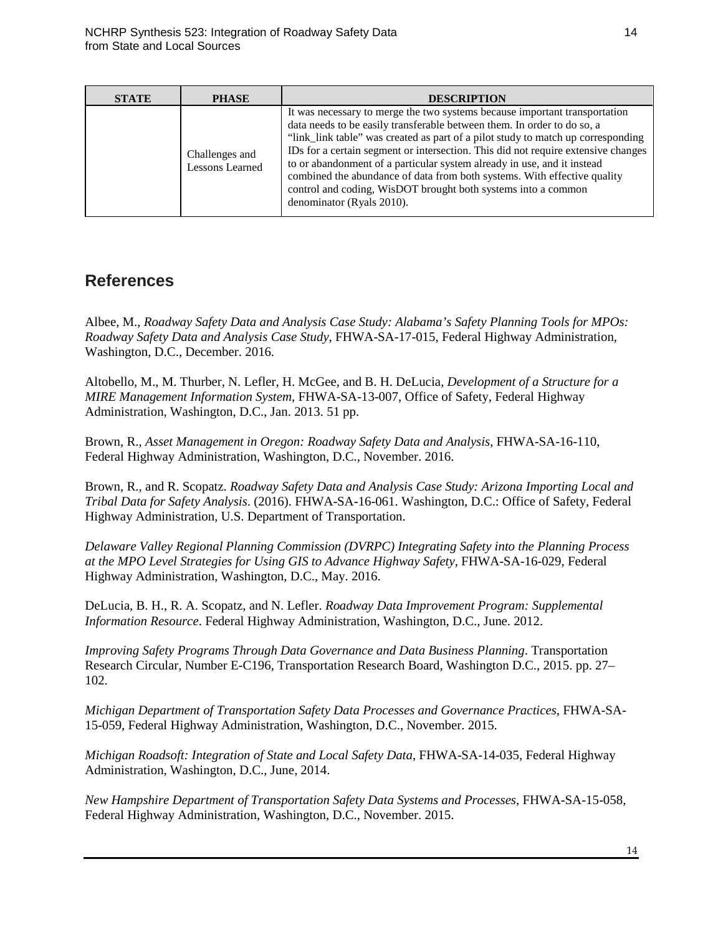| <b>STATE</b> | <b>PHASE</b>                      | <b>DESCRIPTION</b>                                                                                                                                                                                                                                                                                                                                                                                                                                                                                                                                                                  |
|--------------|-----------------------------------|-------------------------------------------------------------------------------------------------------------------------------------------------------------------------------------------------------------------------------------------------------------------------------------------------------------------------------------------------------------------------------------------------------------------------------------------------------------------------------------------------------------------------------------------------------------------------------------|
|              | Challenges and<br>Lessons Learned | It was necessary to merge the two systems because important transportation<br>data needs to be easily transferable between them. In order to do so, a<br>"link_link table" was created as part of a pilot study to match up corresponding<br>IDs for a certain segment or intersection. This did not require extensive changes<br>to or abandonment of a particular system already in use, and it instead<br>combined the abundance of data from both systems. With effective quality<br>control and coding, WisDOT brought both systems into a common<br>denominator (Ryals 2010). |

## **References**

Albee, M., *Roadway Safety Data and Analysis Case Study: Alabama's Safety Planning Tools for MPOs: Roadway Safety Data and Analysis Case Study*, FHWA-SA-17-015, Federal Highway Administration, Washington, D.C., December. 2016.

Altobello, M., M. Thurber, N. Lefler, H. McGee, and B. H. DeLucia, *Development of a Structure for a MIRE Management Information System,* FHWA-SA-13-007, Office of Safety, Federal Highway Administration, Washington, D.C., Jan. 2013. 51 pp.

Brown, R., *Asset Management in Oregon: Roadway Safety Data and Analysis*, FHWA-SA-16-110, Federal Highway Administration, Washington, D.C., November. 2016.

Brown, R., and R. Scopatz. *Roadway Safety Data and Analysis Case Study: Arizona Importing Local and Tribal Data for Safety Analysis*. (2016). FHWA-SA-16-061. Washington, D.C.: Office of Safety, Federal Highway Administration, U.S. Department of Transportation.

*Delaware Valley Regional Planning Commission (DVRPC) Integrating Safety into the Planning Process at the MPO Level Strategies for Using GIS to Advance Highway Safety*, FHWA-SA-16-029, Federal Highway Administration, Washington, D.C., May. 2016.

DeLucia, B. H., R. A. Scopatz, and N. Lefler. *Roadway Data Improvement Program: Supplemental Information Resource*. Federal Highway Administration, Washington, D.C., June. 2012.

*Improving Safety Programs Through Data Governance and Data Business Planning*. Transportation Research Circular, Number E-C196, Transportation Research Board, Washington D.C., 2015. pp. 27– 102.

*Michigan Department of Transportation Safety Data Processes and Governance Practices*, FHWA-SA-15-059, Federal Highway Administration, Washington, D.C., November. 2015.

*Michigan Roadsoft: Integration of State and Local Safety Data*, FHWA-SA-14-035, Federal Highway Administration, Washington, D.C., June, 2014.

*New Hampshire Department of Transportation Safety Data Systems and Processes*, FHWA-SA-15-058, Federal Highway Administration, Washington, D.C., November. 2015.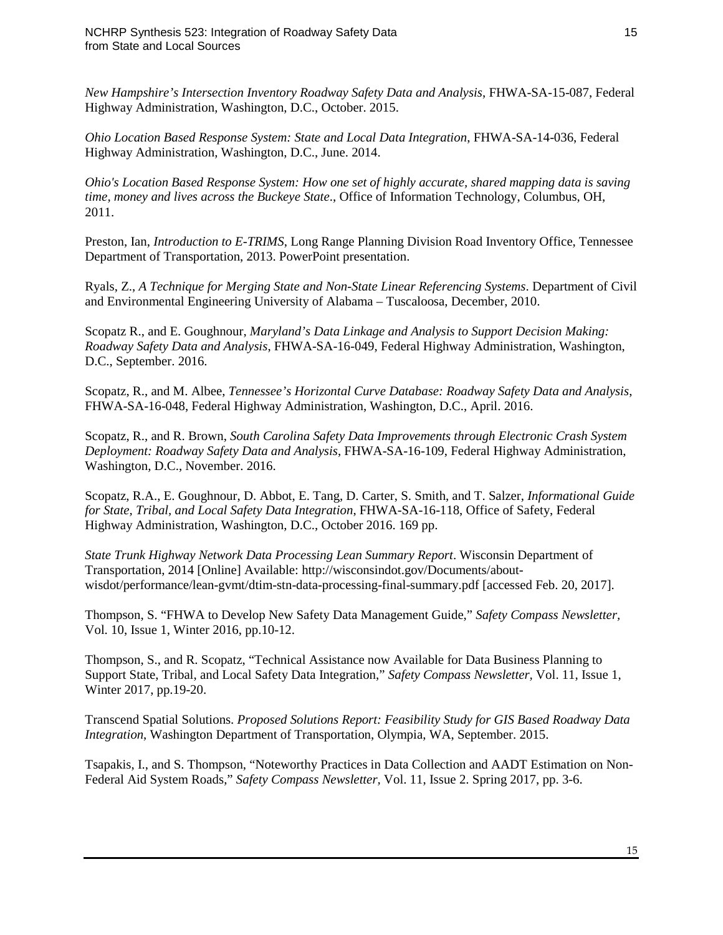*New Hampshire's Intersection Inventory Roadway Safety Data and Analysis*, FHWA-SA-15-087, Federal Highway Administration, Washington, D.C., October. 2015.

*Ohio Location Based Response System: State and Local Data Integration*, FHWA-SA-14-036, Federal Highway Administration, Washington, D.C., June. 2014.

*Ohio's Location Based Response System: How one set of highly accurate, shared mapping data is saving time, money and lives across the Buckeye State*., Office of Information Technology, Columbus, OH, 2011.

Preston, Ian, *Introduction to E-TRIMS*, Long Range Planning Division Road Inventory Office, Tennessee Department of Transportation, 2013. PowerPoint presentation.

Ryals, Z., *A Technique for Merging State and Non-State Linear Referencing Systems*. Department of Civil and Environmental Engineering University of Alabama – Tuscaloosa, December, 2010.

Scopatz R., and E. Goughnour, *Maryland's Data Linkage and Analysis to Support Decision Making: Roadway Safety Data and Analysis*, FHWA-SA-16-049, Federal Highway Administration, Washington, D.C., September. 2016.

Scopatz, R., and M. Albee, *Tennessee's Horizontal Curve Database: Roadway Safety Data and Analysis*, FHWA-SA-16-048, Federal Highway Administration, Washington, D.C., April. 2016.

Scopatz, R., and R. Brown, *South Carolina Safety Data Improvements through Electronic Crash System Deployment: Roadway Safety Data and Analysis*, FHWA-SA-16-109, Federal Highway Administration, Washington, D.C., November. 2016.

Scopatz, R.A., E. Goughnour, D. Abbot, E. Tang, D. Carter, S. Smith, and T. Salzer, *Informational Guide for State, Tribal, and Local Safety Data Integration*, FHWA-SA-16-118, Office of Safety, Federal Highway Administration, Washington, D.C., October 2016. 169 pp.

*State Trunk Highway Network Data Processing Lean Summary Report*. Wisconsin Department of Transportation, 2014 [Online] Available: http://wisconsindot.gov/Documents/aboutwisdot/performance/lean-gvmt/dtim-stn-data-processing-final-summary.pdf [accessed Feb. 20, 2017].

Thompson, S. "FHWA to Develop New Safety Data Management Guide," *Safety Compass Newsletter,*  Vol. 10, Issue 1, Winter 2016, pp.10-12.

Thompson, S., and R. Scopatz, "Technical Assistance now Available for Data Business Planning to Support State, Tribal, and Local Safety Data Integration," *Safety Compass Newsletter,* Vol. 11, Issue 1, Winter 2017, pp.19-20.

Transcend Spatial Solutions. *Proposed Solutions Report: Feasibility Study for GIS Based Roadway Data Integration*, Washington Department of Transportation, Olympia, WA, September. 2015.

Tsapakis, I., and S. Thompson, "Noteworthy Practices in Data Collection and AADT Estimation on Non-Federal Aid System Roads," *Safety Compass Newsletter,* Vol. 11, Issue 2. Spring 2017, pp. 3-6.